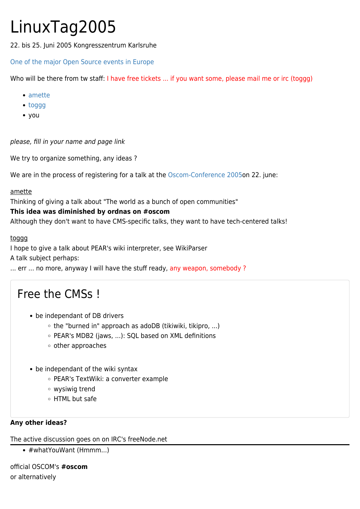# LinuxTag2005

22. bis 25. Juni 2005 Kongresszentrum Karlsruhe

## [One of the major Open Source events in Europe](http://www.linuxtag.org/)

Who will be there from tw staff: I have free tickets ... if you want some, please mail me or irc (toggg)

- [amette](https://tiki.org/UserPageamette)
- [toggg](https://tiki.org/UserPagetoggg)
- [you](https://tiki.org/tiki-editpage.php?page=UserPageyou)

please, fill in your name and page link

We try to organize something, any ideas ?

We are in the process of registering for a talk at the [Oscom-Conference 2005o](http://de.oscom.org/veranstaltungen/oscomtag2005/konferenz/)n 22. june:

### amette

Thinking of giving a talk about "The world as a bunch of open communities"

### **This idea was diminished by ordnas on #oscom**

Although they don't want to have CMS-specific talks, they want to have tech-centered talks!

#### toggg

I hope to give a talk about PEAR's wiki interpreter, see WikiParser

A talk subject perhaps:

... err ... no more, anyway I will have the stuff ready, any weapon, somebody?

# Free the CMSs !

- be independant of DB drivers
	- $\circ$  the "burned in" approach as adoDB (tikiwiki, tikipro, ...)
	- PEAR's MDB2 (jaws, ...): SQL based on XML definitions
	- $\circ$  other approaches
- be independant of the wiki syntax
	- PEAR's TextWiki: a converter example
	- wysiwig trend
	- HTML but safe

#### **Any other ideas?**

The active discussion goes on on IRC's freeNode.net

• #whatYouWant (Hmmm...)

official OSCOM's **#oscom** or alternatively